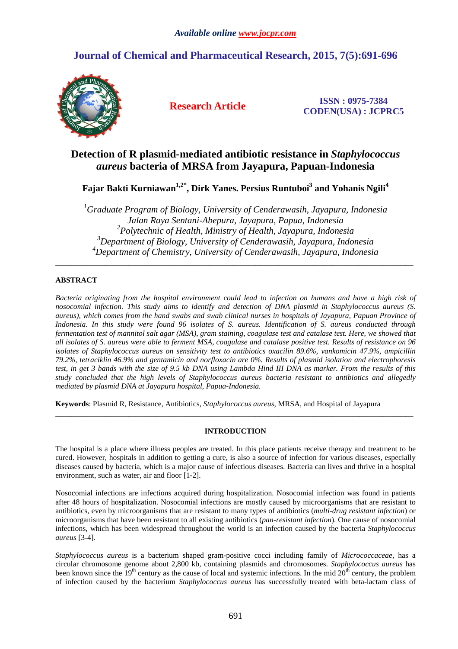# **Journal of Chemical and Pharmaceutical Research, 2015, 7(5):691-696**



**Research Article ISSN : 0975-7384 CODEN(USA) : JCPRC5**

# **Detection of R plasmid-mediated antibiotic resistance in** *Staphylococcus aureus* **bacteria of MRSA from Jayapura, Papuan-Indonesia**

**Fajar Bakti Kurniawan1,2\*, Dirk Yanes. Persius Runtuboi<sup>3</sup> and Yohanis Ngili<sup>4</sup>**

*Graduate Program of Biology, University of Cenderawasih, Jayapura, Indonesia Jalan Raya Sentani-Abepura, Jayapura, Papua, Indonesia Polytechnic of Health, Ministry of Health, Jayapura, Indonesia Department of Biology, University of Cenderawasih, Jayapura, Indonesia Department of Chemistry, University of Cenderawasih, Jayapura, Indonesia* 

\_\_\_\_\_\_\_\_\_\_\_\_\_\_\_\_\_\_\_\_\_\_\_\_\_\_\_\_\_\_\_\_\_\_\_\_\_\_\_\_\_\_\_\_\_\_\_\_\_\_\_\_\_\_\_\_\_\_\_\_\_\_\_\_\_\_\_\_\_\_\_\_\_\_\_\_\_\_\_\_\_\_\_\_\_\_\_\_\_\_\_\_\_

# **ABSTRACT**

*Bacteria originating from the hospital environment could lead to infection on humans and have a high risk of nosocomial infection. This study aims to identify and detection of DNA plasmid in Staphylococcus aureus (S. aureus), which comes from the hand swabs and swab clinical nurses in hospitals of Jayapura, Papuan Province of Indonesia. In this study were found 96 isolates of S. aureus. Identification of S. aureus conducted through fermentation test of mannitol salt agar (MSA), gram staining, coagulase test and catalase test. Here, we showed that all isolates of S. aureus were able to ferment MSA, coagulase and catalase positive test. Results of resistance on 96 isolates of Staphylococcus aureus on sensitivity test to antibiotics oxacilin 89.6%, vankomicin 47.9%, ampicillin 79.2%, tetraciklin 46.9% and gentamicin and norfloxacin are 0%. Results of plasmid isolation and electrophoresis test, in get 3 bands with the size of 9.5 kb DNA using Lambda Hind III DNA as marker. From the results of this study concluded that the high levels of Staphylococcus aureus bacteria resistant to antibiotics and allegedly mediated by plasmid DNA at Jayapura hospital, Papua-Indonesia.* 

**Keywords**: Plasmid R, Resistance, Antibiotics, *Staphylococcus aureus*, MRSA, and Hospital of Jayapura

# **INTRODUCTION**

\_\_\_\_\_\_\_\_\_\_\_\_\_\_\_\_\_\_\_\_\_\_\_\_\_\_\_\_\_\_\_\_\_\_\_\_\_\_\_\_\_\_\_\_\_\_\_\_\_\_\_\_\_\_\_\_\_\_\_\_\_\_\_\_\_\_\_\_\_\_\_\_\_\_\_\_\_\_\_\_\_\_\_\_\_\_\_\_\_\_\_\_\_

The hospital is a place where illness peoples are treated. In this place patients receive therapy and treatment to be cured. However, hospitals in addition to getting a cure, is also a source of infection for various diseases, especially diseases caused by bacteria, which is a major cause of infectious diseases. Bacteria can lives and thrive in a hospital environment, such as water, air and floor [1-2].

Nosocomial infections are infections acquired during hospitalization. Nosocomial infection was found in patients after 48 hours of hospitalization. Nosocomial infections are mostly caused by microorganisms that are resistant to antibiotics, even by microorganisms that are resistant to many types of antibiotics (*multi-drug resistant infection*) or microorganisms that have been resistant to all existing antibiotics (*pan-resistant infection*). One cause of nosocomial infections, which has been widespread throughout the world is an infection caused by the bacteria *Staphylococcus aureus* [3-4].

*Staphylococcus aureus* is a bacterium shaped gram-positive cocci including family of *Micrococcaceae*, has a circular chromosome genome about 2,800 kb, containing plasmids and chromosomes. *Staphylococcus aureus* has been known since the  $19<sup>th</sup>$  century as the cause of local and systemic infections. In the mid  $20<sup>th</sup>$  century, the problem of infection caused by the bacterium *Staphylococcus aureus* has successfully treated with beta-lactam class of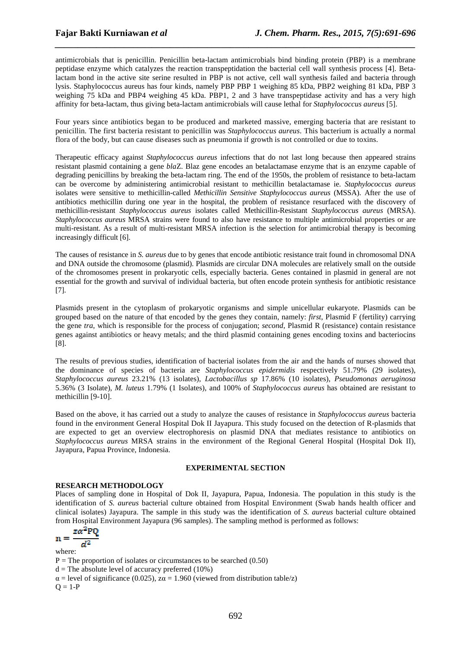antimicrobials that is penicillin. Penicillin beta-lactam antimicrobials bind binding protein (PBP) is a membrane peptidase enzyme which catalyzes the reaction transpeptidation the bacterial cell wall synthesis process [4]. Betalactam bond in the active site serine resulted in PBP is not active, cell wall synthesis failed and bacteria through lysis. Staphylococcus aureus has four kinds, namely PBP PBP 1 weighing 85 kDa, PBP2 weighing 81 kDa, PBP 3 weighing 75 kDa and PBP4 weighing 45 kDa. PBP1, 2 and 3 have transpeptidase activity and has a very high affinity for beta-lactam, thus giving beta-lactam antimicrobials will cause lethal for *Staphylococcus aureus* [5].

*\_\_\_\_\_\_\_\_\_\_\_\_\_\_\_\_\_\_\_\_\_\_\_\_\_\_\_\_\_\_\_\_\_\_\_\_\_\_\_\_\_\_\_\_\_\_\_\_\_\_\_\_\_\_\_\_\_\_\_\_\_\_\_\_\_\_\_\_\_\_\_\_\_\_\_\_\_\_*

Four years since antibiotics began to be produced and marketed massive, emerging bacteria that are resistant to penicillin. The first bacteria resistant to penicillin was *Staphylococcus aureus*. This bacterium is actually a normal flora of the body, but can cause diseases such as pneumonia if growth is not controlled or due to toxins.

Therapeutic efficacy against *Staphylococcus aureus* infections that do not last long because then appeared strains resistant plasmid containing a gene *bla*Z. Blaz gene encodes an betalactamase enzyme that is an enzyme capable of degrading penicillins by breaking the beta-lactam ring. The end of the 1950s, the problem of resistance to beta-lactam can be overcome by administering antimicrobial resistant to methicillin betalactamase ie. *Staphylococcus aureus* isolates were sensitive to methicillin-called *Methicillin Sensitive Staphylococcus aureus* (MSSA). After the use of antibiotics methicillin during one year in the hospital, the problem of resistance resurfaced with the discovery of methicillin-resistant *Staphylococcus aureus* isolates called Methicillin-Resistant *Staphylococcus aureus* (MRSA). *Staphylococcus aureus* MRSA strains were found to also have resistance to multiple antimicrobial properties or are multi-resistant. As a result of multi-resistant MRSA infection is the selection for antimicrobial therapy is becoming increasingly difficult [6].

The causes of resistance in *S. aureus* due to by genes that encode antibiotic resistance trait found in chromosomal DNA and DNA outside the chromosome (plasmid). Plasmids are circular DNA molecules are relatively small on the outside of the chromosomes present in prokaryotic cells, especially bacteria. Genes contained in plasmid in general are not essential for the growth and survival of individual bacteria, but often encode protein synthesis for antibiotic resistance [7].

Plasmids present in the cytoplasm of prokaryotic organisms and simple unicellular eukaryote. Plasmids can be grouped based on the nature of that encoded by the genes they contain, namely: *first*, Plasmid F (fertility) carrying the gene *tra*, which is responsible for the process of conjugation; *second*, Plasmid R (resistance) contain resistance genes against antibiotics or heavy metals; and the third plasmid containing genes encoding toxins and bacteriocins [8].

The results of previous studies, identification of bacterial isolates from the air and the hands of nurses showed that the dominance of species of bacteria are *Staphylococcus epidermidis* respectively 51.79% (29 isolates), *Staphylococcus aureus* 23.21% (13 isolates), *Lactobacillus sp* 17.86% (10 isolates), *Pseudomonas aeruginosa* 5.36% (3 Isolate), *M. luteus* 1.79% (1 Isolates), and 100% of *Staphylococcus aureus* has obtained are resistant to methicillin [9-10].

Based on the above, it has carried out a study to analyze the causes of resistance in *Staphylococcus aureus* bacteria found in the environment General Hospital Dok II Jayapura. This study focused on the detection of R-plasmids that are expected to get an overview electrophoresis on plasmid DNA that mediates resistance to antibiotics on *Staphylococcus aureus* MRSA strains in the environment of the Regional General Hospital (Hospital Dok II), Jayapura, Papua Province, Indonesia.

# **EXPERIMENTAL SECTION**

# **RESEARCH METHODOLOGY**

Places of sampling done in Hospital of Dok II, Jayapura, Papua, Indonesia. The population in this study is the identification of *S. aureus* bacterial culture obtained from Hospital Environment (Swab hands health officer and clinical isolates) Jayapura. The sample in this study was the identification of *S. aureus* bacterial culture obtained from Hospital Environment Jayapura (96 samples). The sampling method is performed as follows:

$$
n = \frac{z\alpha^2 PQ}{\cdots}
$$

 $d^2$ where:  $P =$ The proportion of isolates or circumstances to be searched (0.50)  $d =$ The absolute level of accuracy preferred (10%)  $\alpha$  = level of significance (0.025),  $z\alpha$  = 1.960 (viewed from distribution table/z)  $Q = 1-P$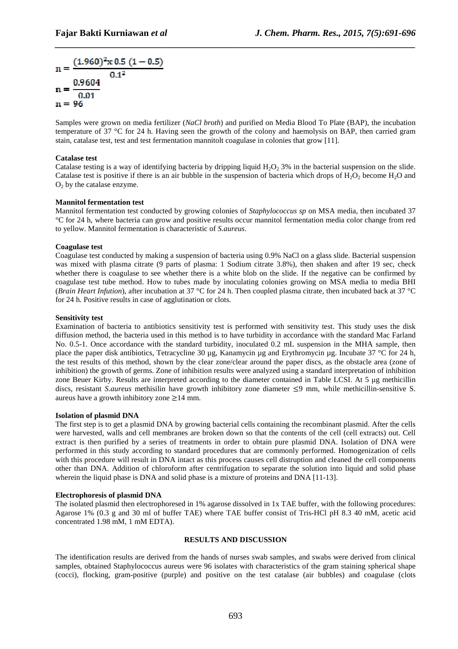$$
n = \frac{(1.960)^{2} \times 0.5 (1 - 0.5)}{0.1^{2}}
$$
  
n =  $\frac{0.9604}{0.01}$   
n = 96

Samples were grown on media fertilizer (*NaCl broth*) and purified on Media Blood To Plate (BAP), the incubation temperature of 37 °C for 24 h. Having seen the growth of the colony and haemolysis on BAP, then carried gram stain, catalase test, test and test fermentation mannitolt coagulase in colonies that grow [11].

*\_\_\_\_\_\_\_\_\_\_\_\_\_\_\_\_\_\_\_\_\_\_\_\_\_\_\_\_\_\_\_\_\_\_\_\_\_\_\_\_\_\_\_\_\_\_\_\_\_\_\_\_\_\_\_\_\_\_\_\_\_\_\_\_\_\_\_\_\_\_\_\_\_\_\_\_\_\_*

## **Catalase test**

Catalase testing is a way of identifying bacteria by dripping liquid  $H_2O_2$  3% in the bacterial suspension on the slide. Catalase test is positive if there is an air bubble in the suspension of bacteria which drops of  $H_2O_2$  become  $H_2O$  and  $O<sub>2</sub>$  by the catalase enzyme.

## **Mannitol fermentation test**

Mannitol fermentation test conducted by growing colonies of *Staphylococcus sp* on MSA media, then incubated 37 °C for 24 h, where bacteria can grow and positive results occur mannitol fermentation media color change from red to yellow. Mannitol fermentation is characteristic of *S.aureus*.

## **Coagulase test**

Coagulase test conducted by making a suspension of bacteria using 0.9% NaCl on a glass slide. Bacterial suspension was mixed with plasma citrate (9 parts of plasma: 1 Sodium citrate 3.8%), then shaken and after 19 sec, check whether there is coagulase to see whether there is a white blob on the slide. If the negative can be confirmed by coagulase test tube method. How to tubes made by inoculating colonies growing on MSA media to media BHI (*Brain Heart Infution*), after incubation at 37 °C for 24 h. Then coupled plasma citrate, then incubated back at 37 °C for 24 h. Positive results in case of agglutination or clots.

#### **Sensitivity test**

Examination of bacteria to antibiotics sensitivity test is performed with sensitivity test. This study uses the disk diffusion method, the bacteria used in this method is to have turbidity in accordance with the standard Mac Farland No. 0.5-1. Once accordance with the standard turbidity, inoculated 0.2 mL suspension in the MHA sample, then place the paper disk antibiotics, Tetracycline 30 µg, Kanamycin µg and Erythromycin µg. Incubate 37 °C for 24 h, the test results of this method, shown by the clear zone/clear around the paper discs, as the obstacle area (zone of inhibition) the growth of germs. Zone of inhibition results were analyzed using a standard interpretation of inhibition zone Beuer Kirby. Results are interpreted according to the diameter contained in Table LCSI. At 5 µg methicillin discs, resistant *S.aureus* methisilin have growth inhibitory zone diameter ≤9 mm, while methicillin-sensitive S. aureus have a growth inhibitory zone  $\geq$ 14 mm.

#### **Isolation of plasmid DNA**

The first step is to get a plasmid DNA by growing bacterial cells containing the recombinant plasmid. After the cells were harvested, walls and cell membranes are broken down so that the contents of the cell (cell extracts) out. Cell extract is then purified by a series of treatments in order to obtain pure plasmid DNA. Isolation of DNA were performed in this study according to standard procedures that are commonly performed. Homogenization of cells with this procedure will result in DNA intact as this process causes cell distruption and cleaned the cell components other than DNA. Addition of chloroform after centrifugation to separate the solution into liquid and solid phase wherein the liquid phase is DNA and solid phase is a mixture of proteins and DNA [11-13].

### **Electrophoresis of plasmid DNA**

The isolated plasmid then electrophoresed in 1% agarose dissolved in 1x TAE buffer, with the following procedures: Agarose 1% (0.3 g and 30 ml of buffer TAE) where TAE buffer consist of Tris-HCl pH 8.3 40 mM, acetic acid concentrated 1.98 mM, 1 mM EDTA).

#### **RESULTS AND DISCUSSION**

The identification results are derived from the hands of nurses swab samples, and swabs were derived from clinical samples, obtained Staphylococcus aureus were 96 isolates with characteristics of the gram staining spherical shape (cocci), flocking, gram-positive (purple) and positive on the test catalase (air bubbles) and coagulase (clots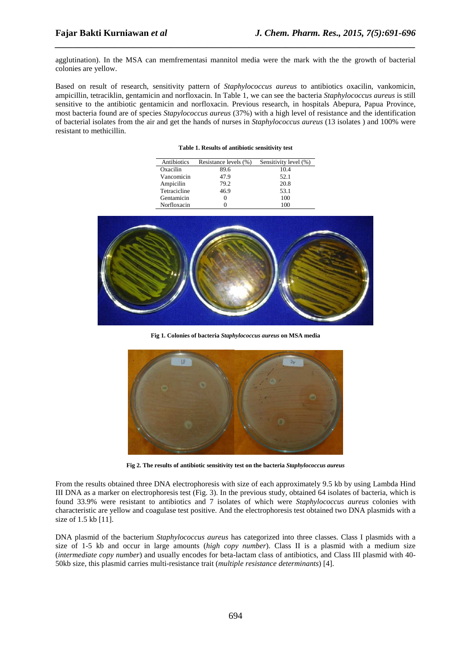agglutination). In the MSA can memfrementasi mannitol media were the mark with the the growth of bacterial colonies are yellow.

*\_\_\_\_\_\_\_\_\_\_\_\_\_\_\_\_\_\_\_\_\_\_\_\_\_\_\_\_\_\_\_\_\_\_\_\_\_\_\_\_\_\_\_\_\_\_\_\_\_\_\_\_\_\_\_\_\_\_\_\_\_\_\_\_\_\_\_\_\_\_\_\_\_\_\_\_\_\_*

Based on result of research, sensitivity pattern of *Staphylococcus aureus* to antibiotics oxacilin, vankomicin, ampicillin, tetraciklin, gentamicin and norfloxacin. In Table 1, we can see the bacteria *Staphylococcus aureus* is still sensitive to the antibiotic gentamicin and norfloxacin. Previous research, in hospitals Abepura, Papua Province, most bacteria found are of species *Stapylococcus aureus* (37%) with a high level of resistance and the identification of bacterial isolates from the air and get the hands of nurses in *Staphylococcus aureus* (13 isolates ) and 100% were resistant to methicillin.

| Antibiotics  | Resistance levels (%) | Sensitivity level (%) |
|--------------|-----------------------|-----------------------|
| Oxacilin     | 89.6                  | 10.4                  |
| Vancomicin   | 47.9                  | 52.1                  |
| Ampicilin    | 79.2                  | 20.8                  |
| Tetracicline | 46.9                  | 53.1                  |
| Gentamicin   |                       | 100                   |
| Norfloxacin  |                       | 100                   |



**Fig 1. Colonies of bacteria** *Staphylococcus aureus* **on MSA media** 



**Fig 2. The results of antibiotic sensitivity test on the bacteria** *Staphylococcus aureus*

From the results obtained three DNA electrophoresis with size of each approximately 9.5 kb by using Lambda Hind III DNA as a marker on electrophoresis test (Fig. 3). In the previous study, obtained 64 isolates of bacteria, which is found 33.9% were resistant to antibiotics and 7 isolates of which were *Staphylococcus aureus* colonies with characteristic are yellow and coagulase test positive. And the electrophoresis test obtained two DNA plasmids with a size of 1.5 kb [11].

DNA plasmid of the bacterium *Staphylococcus aureus* has categorized into three classes. Class I plasmids with a size of 1-5 kb and occur in large amounts (*high copy number*). Class II is a plasmid with a medium size (*intermediate copy number*) and usually encodes for beta-lactam class of antibiotics, and Class III plasmid with 40- 50kb size, this plasmid carries multi-resistance trait (*multiple resistance determinants*) [4].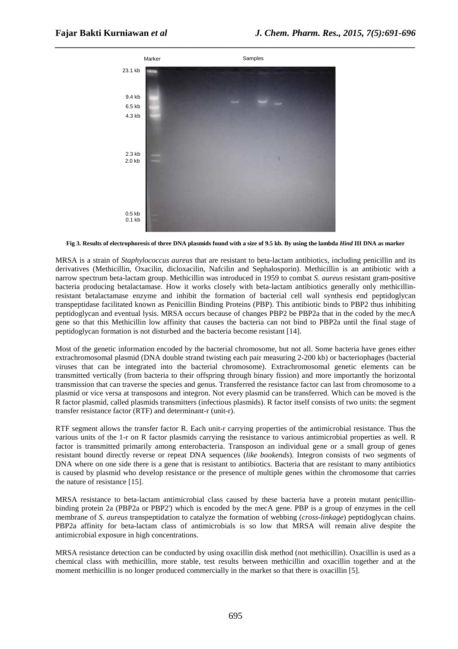

**Fig 3. Results of electrophoresis of three DNA plasmids found with a size of 9.5 kb. By using the lambda** *Hind* **III DNA as marker** 

MRSA is a strain of *Staphylococcus aureus* that are resistant to beta-lactam antibiotics, including penicillin and its derivatives (Methicillin, Oxacilin, dicloxacilin, Nafcilin and Sephalosporin). Methicillin is an antibiotic with a narrow spectrum beta-lactam group. Methicillin was introduced in 1959 to combat *S. aureus* resistant gram-positive bacteria producing betalactamase. How it works closely with beta-lactam antibiotics generally only methicillinresistant betalactamase enzyme and inhibit the formation of bacterial cell wall synthesis end peptidoglycan transpeptidase facilitated known as Penicillin Binding Proteins (PBP). This antibiotic binds to PBP2 thus inhibiting peptidoglycan and eventual lysis. MRSA occurs because of changes PBP2 be PBP2a that in the coded by the mecA gene so that this Methicillin low affinity that causes the bacteria can not bind to PBP2a until the final stage of peptidoglycan formation is not disturbed and the bacteria become resistant [14].

Most of the genetic information encoded by the bacterial chromosome, but not all. Some bacteria have genes either extrachromosomal plasmid (DNA double strand twisting each pair measuring 2-200 kb) or bacteriophages (bacterial viruses that can be integrated into the bacterial chromosome). Extrachromosomal genetic elements can be transmitted vertically (from bacteria to their offspring through binary fission) and more importantly the horizontal transmission that can traverse the species and genus. Transferred the resistance factor can last from chromosome to a plasmid or vice versa at transposons and integron. Not every plasmid can be transferred. Which can be moved is the R factor plasmid, called plasmids transmitters (infectious plasmids). R factor itself consists of two units: the segment transfer resistance factor (RTF) and determinant-r (unit-r).

RTF segment allows the transfer factor R. Each unit-r carrying properties of the antimicrobial resistance. Thus the various units of the 1-r on R factor plasmids carrying the resistance to various antimicrobial properties as well. R factor is transmitted primarily among enterobacteria. Transposon an individual gene or a small group of genes resistant bound directly reverse or repeat DNA sequences (*like bookends*). Integron consists of two segments of DNA where on one side there is a gene that is resistant to antibiotics. Bacteria that are resistant to many antibiotics is caused by plasmid who develop resistance or the presence of multiple genes within the chromosome that carries the nature of resistance [15].

MRSA resistance to beta-lactam antimicrobial class caused by these bacteria have a protein mutant penicillinbinding protein 2a (PBP2a or PBP2') which is encoded by the mecA gene. PBP is a group of enzymes in the cell membrane of *S. aureus* transpeptidation to catalyze the formation of webbing (*cross-linkage*) peptidoglycan chains. PBP2a affinity for beta-lactam class of antimicrobials is so low that MRSA will remain alive despite the antimicrobial exposure in high concentrations.

MRSA resistance detection can be conducted by using oxacillin disk method (not methicillin). Oxacillin is used as a chemical class with methicillin, more stable, test results between methicillin and oxacillin together and at the moment methicillin is no longer produced commercially in the market so that there is oxacillin [5].